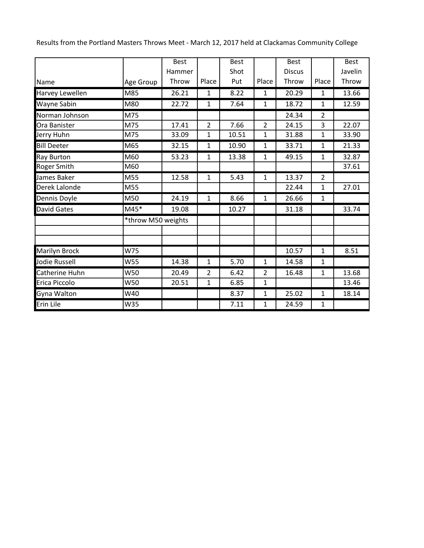Results from the Portland Masters Throws Meet - March 12, 2017 held at Clackamas Community College

|                      |                    | <b>Best</b> |                | <b>Best</b> |                | <b>Best</b>   |                | <b>Best</b> |
|----------------------|--------------------|-------------|----------------|-------------|----------------|---------------|----------------|-------------|
|                      |                    | Hammer      |                | Shot        |                | <b>Discus</b> |                | Javelin     |
| Name                 | Age Group          | Throw       | Place          | Put         | Place          | Throw         | Place          | Throw       |
| Harvey Lewellen      | M85                | 26.21       | 1              | 8.22        | 1              | 20.29         | 1              | 13.66       |
| <b>Wayne Sabin</b>   | M80                | 22.72       | $\mathbf{1}$   | 7.64        | $\mathbf{1}$   | 18.72         | $\mathbf{1}$   | 12.59       |
| Norman Johnson       | M75                |             |                |             |                | 24.34         | $\overline{2}$ |             |
| Ora Banister         | M75                | 17.41       | $\overline{2}$ | 7.66        | $\overline{2}$ | 24.15         | 3              | 22.07       |
| Jerry Huhn           | M75                | 33.09       | $\mathbf{1}$   | 10.51       | 1              | 31.88         | $\mathbf 1$    | 33.90       |
| <b>Bill Deeter</b>   | M65                | 32.15       | $\mathbf{1}$   | 10.90       | 1              | 33.71         | $\mathbf{1}$   | 21.33       |
| <b>Ray Burton</b>    | M60                | 53.23       | 1              | 13.38       | 1              | 49.15         | 1              | 32.87       |
| Roger Smith          | M60                |             |                |             |                |               |                | 37.61       |
| James Baker          | M55                | 12.58       | 1              | 5.43        | 1              | 13.37         | $\overline{2}$ |             |
| Derek Lalonde        | M55                |             |                |             |                | 22.44         | 1              | 27.01       |
| Dennis Doyle         | M50                | 24.19       | $\mathbf{1}$   | 8.66        | $\mathbf{1}$   | 26.66         | $\mathbf{1}$   |             |
| <b>David Gates</b>   | $M45*$             | 19.08       |                | 10.27       |                | 31.18         |                | 33.74       |
|                      | *throw M50 weights |             |                |             |                |               |                |             |
|                      |                    |             |                |             |                |               |                |             |
| <b>Marilyn Brock</b> | W75                |             |                |             |                | 10.57         | $\mathbf{1}$   | 8.51        |
| <b>Jodie Russell</b> | W55                | 14.38       | 1              | 5.70        | 1              | 14.58         | 1              |             |
| Catherine Huhn       | W50                | 20.49       | $\overline{2}$ | 6.42        | $\overline{2}$ | 16.48         | 1              | 13.68       |
| Erica Piccolo        | W50                | 20.51       | 1              | 6.85        | 1              |               |                | 13.46       |
| Gyna Walton          | W40                |             |                | 8.37        | $\mathbf{1}$   | 25.02         | $\mathbf{1}$   | 18.14       |
| Erin Lile            | W35                |             |                | 7.11        | 1              | 24.59         | 1              |             |